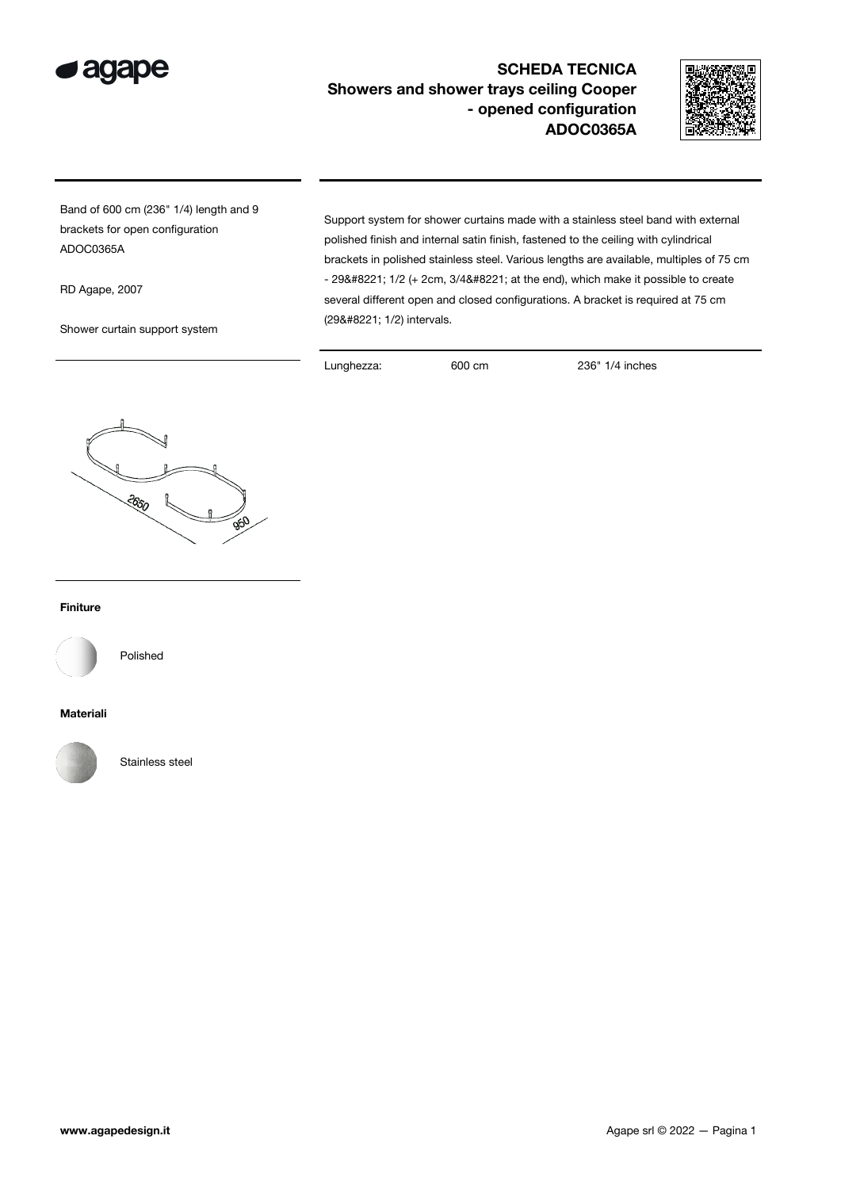

## SCHEDA TECNICA Showers and shower trays ceiling Cooper - opened configuration ADOC0365A



Band of 600 cm (236" 1/4) length and 9 brackets for open configuration ADOC0365A

RD Agape, 2007

Shower curtain support system

Support system for shower curtains made with a stainless steel band with external polished finish and internal satin finish, fastened to the ceiling with cylindrical brackets in polished stainless steel. Various lengths are available, multiples of 75 cm  $-$  29" 1/2 (+ 2cm, 3/4" at the end), which make it possible to create several different open and closed configurations. A bracket is required at 75 cm (29" 1/2) intervals.

Lunghezza: 600 cm 236" 1/4 inches



## Finiture



Polished

## Materiali



Stainless steel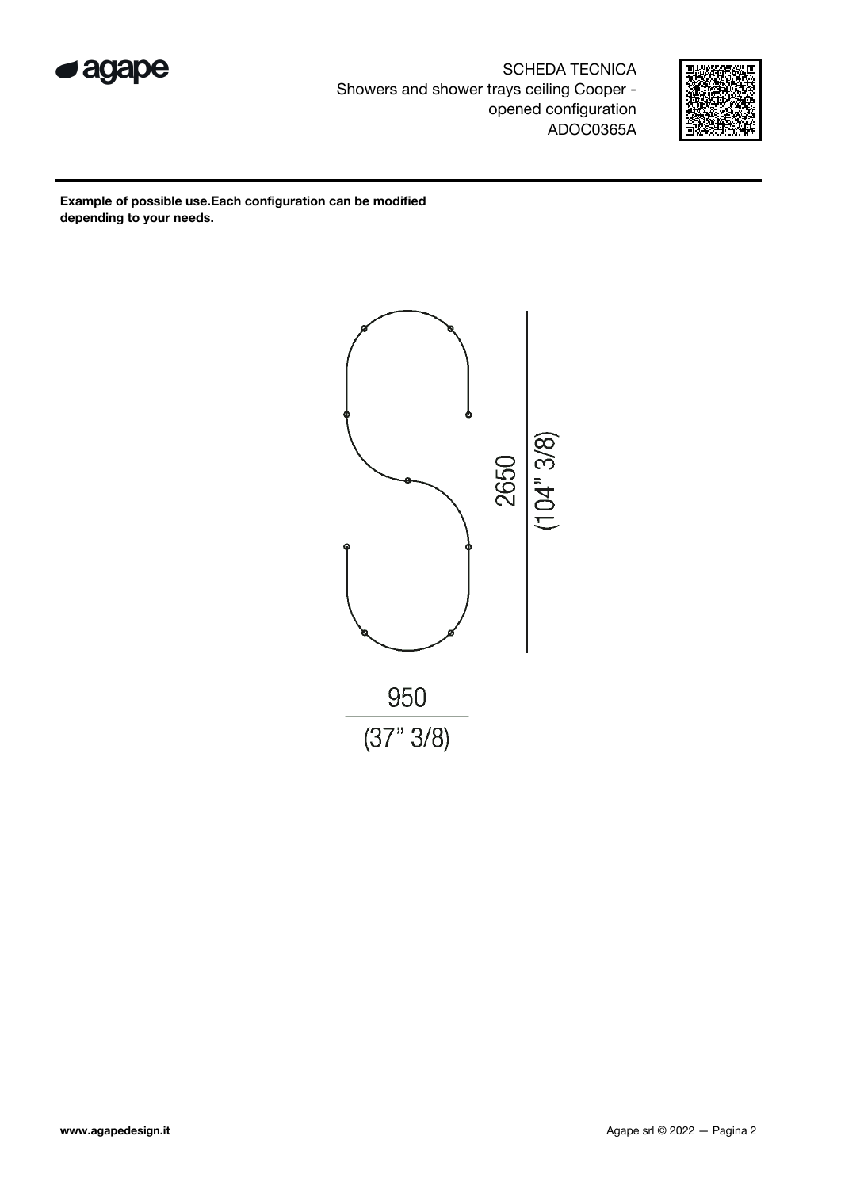

SCHEDA TECNICA Showers and shower trays ceiling Cooper opened configuration ADOC0365A



Example of possible use.Each configuration can be modified depending to your needs.

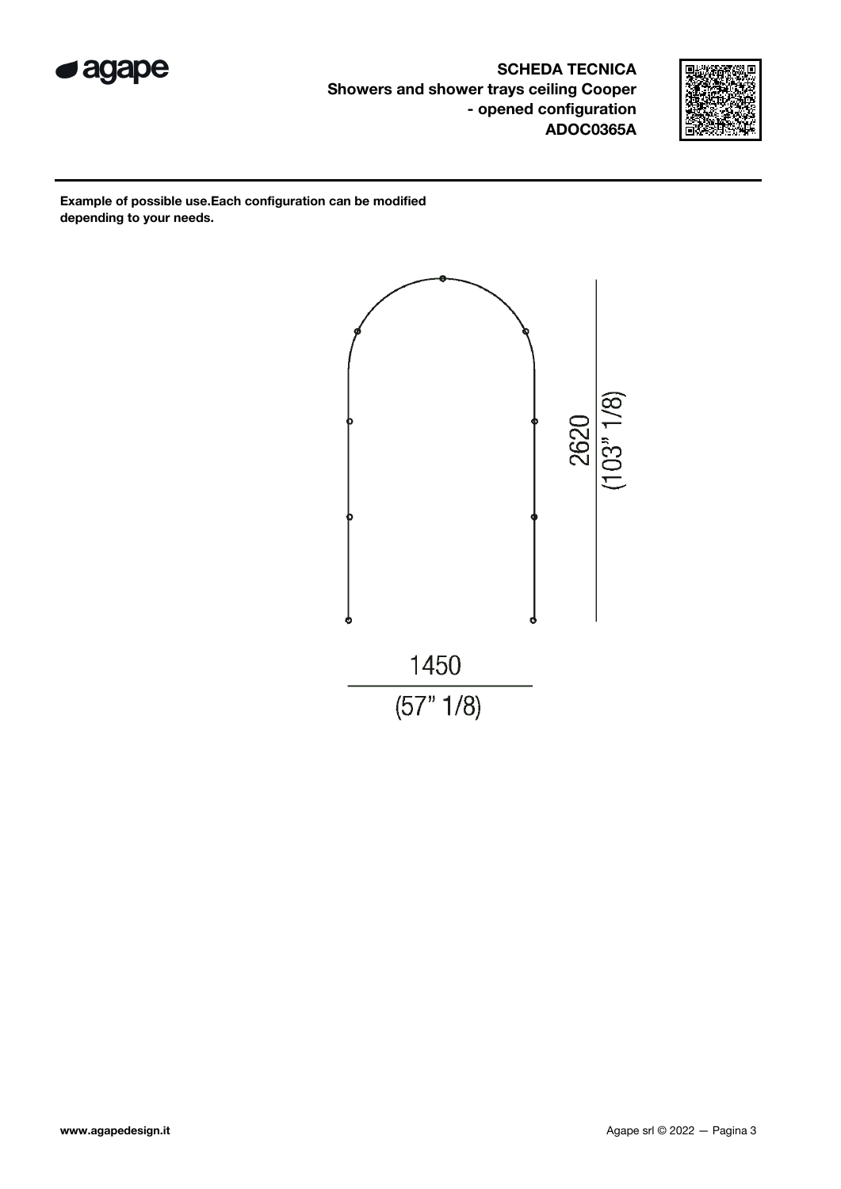

SCHEDA TECNICA Showers and shower trays ceiling Cooper - opened configuration ADOC0365A



Example of possible use.Each configuration can be modified depending to your needs.